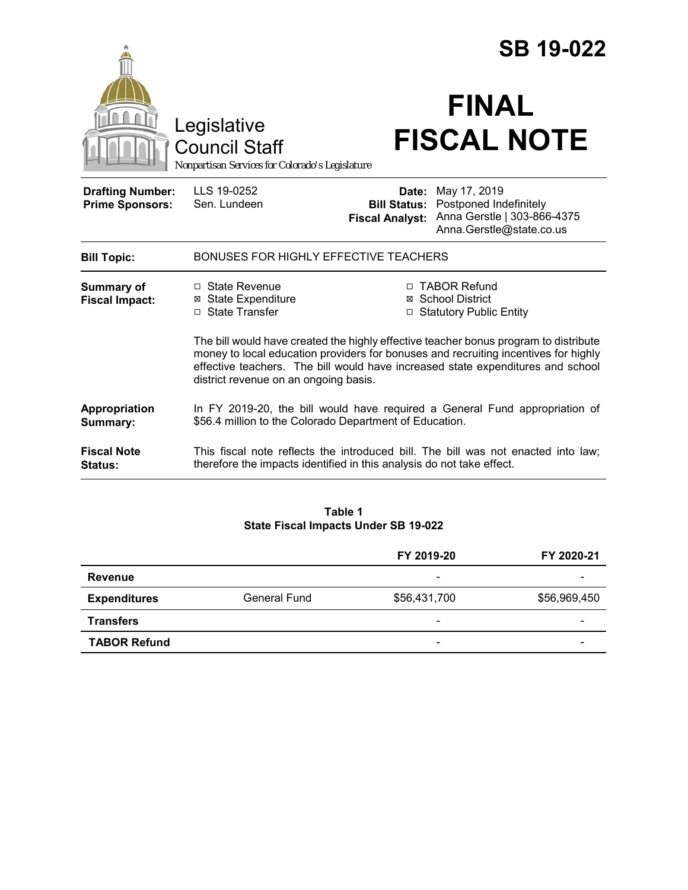|                                                   |                                                                                                                                                                                                                                                                                                         |                                                        | <b>SB 19-022</b>                                                                                  |  |
|---------------------------------------------------|---------------------------------------------------------------------------------------------------------------------------------------------------------------------------------------------------------------------------------------------------------------------------------------------------------|--------------------------------------------------------|---------------------------------------------------------------------------------------------------|--|
|                                                   | Legislative<br><b>Council Staff</b><br>Nonpartisan Services for Colorado's Legislature                                                                                                                                                                                                                  |                                                        | <b>FINAL</b><br><b>FISCAL NOTE</b>                                                                |  |
| <b>Drafting Number:</b><br><b>Prime Sponsors:</b> | LLS 19-0252<br>Sen. Lundeen                                                                                                                                                                                                                                                                             | Date:<br><b>Bill Status:</b><br><b>Fiscal Analyst:</b> | May 17, 2019<br>Postponed Indefinitely<br>Anna Gerstle   303-866-4375<br>Anna.Gerstle@state.co.us |  |
| <b>Bill Topic:</b>                                | <b>BONUSES FOR HIGHLY EFFECTIVE TEACHERS</b>                                                                                                                                                                                                                                                            |                                                        |                                                                                                   |  |
| Summary of<br><b>Fiscal Impact:</b>               | $\Box$ State Revenue<br><b>⊠</b> State Expenditure<br>$\Box$ State Transfer                                                                                                                                                                                                                             |                                                        | □ TABOR Refund<br>⊠ School District<br>□ Statutory Public Entity                                  |  |
|                                                   | The bill would have created the highly effective teacher bonus program to distribute<br>money to local education providers for bonuses and recruiting incentives for highly<br>effective teachers. The bill would have increased state expenditures and school<br>district revenue on an ongoing basis. |                                                        |                                                                                                   |  |
| Appropriation<br>Summary:                         | In FY 2019-20, the bill would have required a General Fund appropriation of<br>\$56.4 million to the Colorado Department of Education.                                                                                                                                                                  |                                                        |                                                                                                   |  |
| <b>Fiscal Note</b><br><b>Status:</b>              | This fiscal note reflects the introduced bill. The bill was not enacted into law;<br>therefore the impacts identified in this analysis do not take effect.                                                                                                                                              |                                                        |                                                                                                   |  |

### **Table 1 State Fiscal Impacts Under SB 19-022**

|                     |                     | FY 2019-20               | FY 2020-21               |
|---------------------|---------------------|--------------------------|--------------------------|
| <b>Revenue</b>      |                     | $\overline{\phantom{a}}$ | -                        |
| <b>Expenditures</b> | <b>General Fund</b> | \$56,431,700             | \$56,969,450             |
| <b>Transfers</b>    |                     | $\overline{\phantom{0}}$ | $\overline{\phantom{0}}$ |
| <b>TABOR Refund</b> |                     | $\overline{\phantom{a}}$ |                          |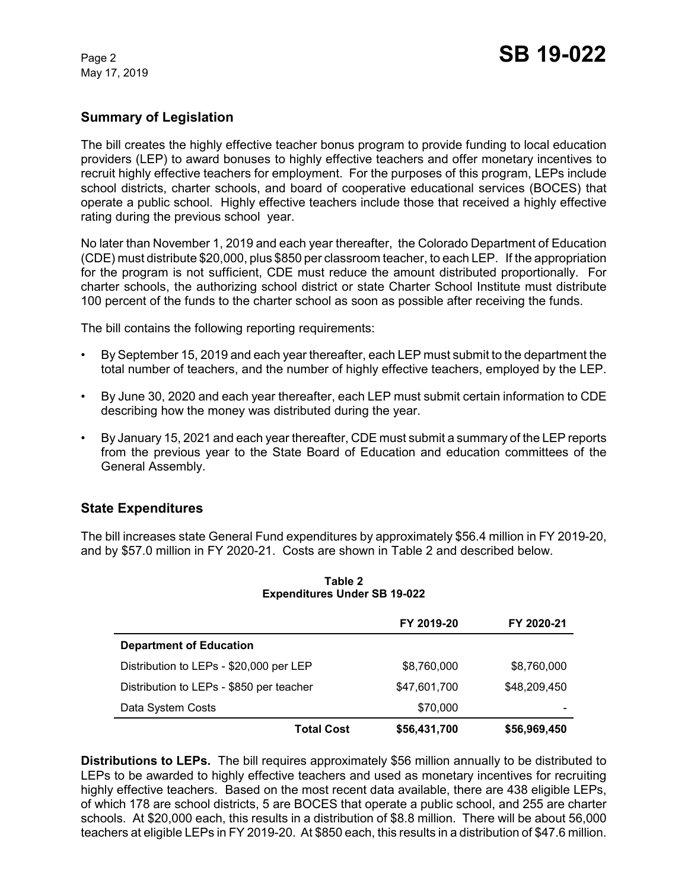May 17, 2019

# **Summary of Legislation**

The bill creates the highly effective teacher bonus program to provide funding to local education providers (LEP) to award bonuses to highly effective teachers and offer monetary incentives to recruit highly effective teachers for employment. For the purposes of this program, LEPs include school districts, charter schools, and board of cooperative educational services (BOCES) that operate a public school. Highly effective teachers include those that received a highly effective rating during the previous school year.

No later than November 1, 2019 and each year thereafter, the Colorado Department of Education (CDE) must distribute \$20,000, plus \$850 per classroom teacher, to each LEP. If the appropriation for the program is not sufficient, CDE must reduce the amount distributed proportionally. For charter schools, the authorizing school district or state Charter School Institute must distribute 100 percent of the funds to the charter school as soon as possible after receiving the funds.

The bill contains the following reporting requirements:

- By September 15, 2019 and each year thereafter, each LEP must submit to the department the total number of teachers, and the number of highly effective teachers, employed by the LEP.
- By June 30, 2020 and each year thereafter, each LEP must submit certain information to CDE describing how the money was distributed during the year.
- By January 15, 2021 and each year thereafter, CDE must submit a summary of the LEP reports from the previous year to the State Board of Education and education committees of the General Assembly.

## **State Expenditures**

The bill increases state General Fund expenditures by approximately \$56.4 million in FY 2019-20, and by \$57.0 million in FY 2020-21. Costs are shown in Table 2 and described below.

|                                          | FY 2019-20                        | FY 2020-21   |
|------------------------------------------|-----------------------------------|--------------|
| <b>Department of Education</b>           |                                   |              |
| Distribution to LEPs - \$20,000 per LEP  | \$8,760,000                       | \$8,760,000  |
| Distribution to LEPs - \$850 per teacher | \$47,601,700                      | \$48,209,450 |
| Data System Costs                        | \$70,000                          |              |
|                                          | \$56,431,700<br><b>Total Cost</b> | \$56,969,450 |

#### **Table 2 Expenditures Under SB 19-022**

**Distributions to LEPs.** The bill requires approximately \$56 million annually to be distributed to LEPs to be awarded to highly effective teachers and used as monetary incentives for recruiting highly effective teachers. Based on the most recent data available, there are 438 eligible LEPs, of which 178 are school districts, 5 are BOCES that operate a public school, and 255 are charter schools. At \$20,000 each, this results in a distribution of \$8.8 million. There will be about 56,000 teachers at eligible LEPs in FY 2019-20. At \$850 each, this results in a distribution of \$47.6 million.